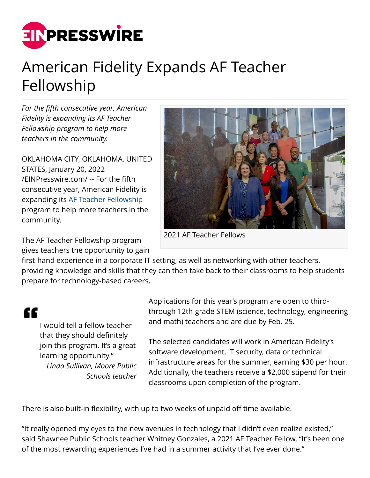

## American Fidelity Expands AF Teacher Fellowship

*For the fifth consecutive year, American Fidelity is expanding its AF Teacher Fellowship program to help more teachers in the community.*

OKLAHOMA CITY, OKLAHOMA, UNITED STATES, January 20, 2022 [/EINPresswire.com/](http://www.einpresswire.com) -- For the fifth consecutive year, American Fidelity is expanding its [AF Teacher Fellowship](http://americanfidelity.com/teacher-fellowship) program to help more teachers in the community.

The AF Teacher Fellowship program gives teachers the opportunity to gain



2021 AF Teacher Fellows

first-hand experience in a corporate IT setting, as well as networking with other teachers, providing knowledge and skills that they can then take back to their classrooms to help students prepare for technology-based careers.

## æ

I would tell a fellow teacher that they should definitely join this program. It's a great learning opportunity." *Linda Sullivan, Moore Public Schools teacher* Applications for this year's program are open to thirdthrough 12th-grade STEM (science, technology, engineering and math) teachers and are due by Feb. 25.

The selected candidates will work in American Fidelity's software development, IT security, data or technical infrastructure areas for the summer, earning \$30 per hour. Additionally, the teachers receive a \$2,000 stipend for their classrooms upon completion of the program.

There is also built-in flexibility, with up to two weeks of unpaid off time available.

"It really opened my eyes to the new avenues in technology that I didn't even realize existed," said Shawnee Public Schools teacher Whitney Gonzales, a 2021 AF Teacher Fellow. "It's been one of the most rewarding experiences I've had in a summer activity that I've ever done."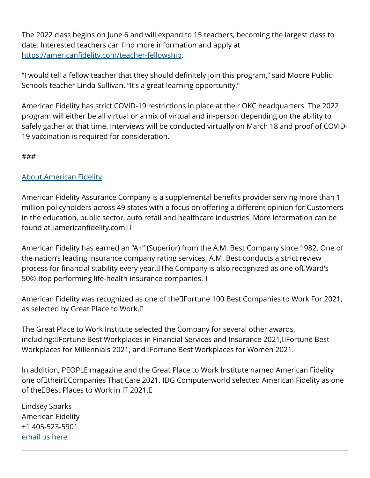The 2022 class begins on June 6 and will expand to 15 teachers, becoming the largest class to date. Interested teachers can find more information and apply at [https://americanfidelity.com/teacher-fellowship.](http://americanfidelity.com/teacher-fellowship)

"I would tell a fellow teacher that they should definitely join this program," said Moore Public Schools teacher Linda Sullivan. "It's a great learning opportunity."

American Fidelity has strict COVID-19 restrictions in place at their OKC headquarters. The 2022 program will either be all virtual or a mix of virtual and in-person depending on the ability to safely gather at that time. Interviews will be conducted virtually on March 18 and proof of COVID-19 vaccination is required for consideration.

## ###

## [About American Fidelity](https://americanfidelity.com/)

American Fidelity Assurance Company is a supplemental benefits provider serving more than 1 million policyholders across 49 states with a focus on offering a different opinion for Customers in the education, public sector, auto retail and healthcare industries. More information can be found at $\square$ americanfidelity.com. $\square$ 

American Fidelity has earned an "A+" (Superior) from the A.M. Best Company since 1982. One of the nation's leading insurance company rating services, A.M. Best conducts a strict review process for financial stability every year. The Company is also recognized as one of Ward's 50© Dtop performing life-health insurance companies. D

American Fidelity was recognized as one of the Fortune 100 Best Companies to Work For 2021, as selected by Great Place to Work. 

The Great Place to Work Institute selected the Company for several other awards, including: Fortune Best Workplaces in Financial Services and Insurance 2021, Fortune Best Workplaces for Millennials 2021, and Fortune Best Workplaces for Women 2021.

In addition, PEOPLE magazine and the Great Place to Work Institute named American Fidelity one of their Companies That Care 2021. IDG Computerworld selected American Fidelity as one of the DBest Places to Work in IT 2021. D

Lindsey Sparks American Fidelity +1 405-523-5901 [email us here](http://www.einpresswire.com/contact_author/3291086)